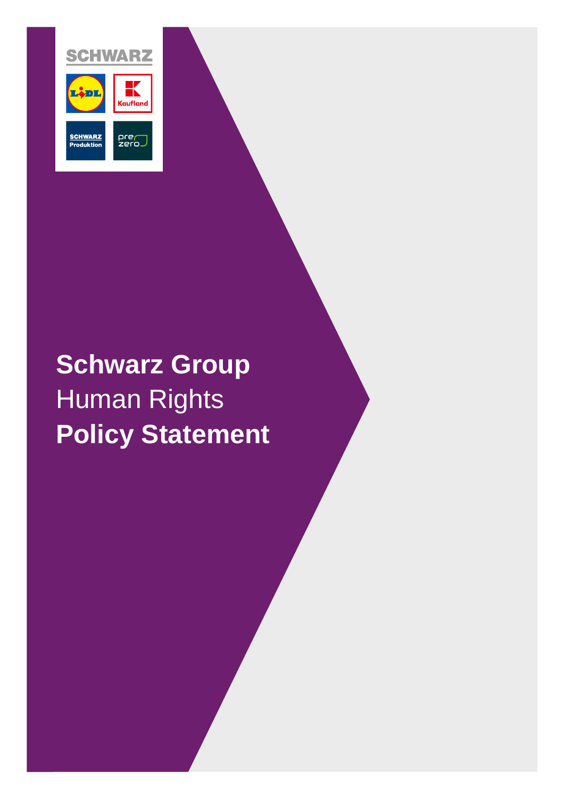

# **Schwarz Group** Human Rights **Policy Statement**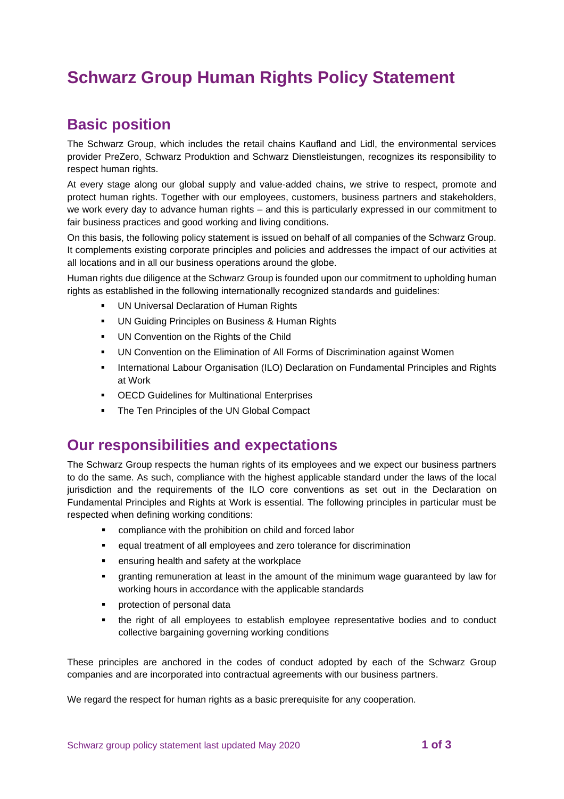## **Schwarz Group Human Rights Policy Statement**

## **Basic position**

The Schwarz Group, which includes the retail chains Kaufland and Lidl, the environmental services provider PreZero, Schwarz Produktion and Schwarz Dienstleistungen, recognizes its responsibility to respect human rights.

At every stage along our global supply and value-added chains, we strive to respect, promote and protect human rights. Together with our employees, customers, business partners and stakeholders, we work every day to advance human rights – and this is particularly expressed in our commitment to fair business practices and good working and living conditions.

On this basis, the following policy statement is issued on behalf of all companies of the Schwarz Group. It complements existing corporate principles and policies and addresses the impact of our activities at all locations and in all our business operations around the globe.

Human rights due diligence at the Schwarz Group is founded upon our commitment to upholding human rights as established in the following internationally recognized standards and guidelines:

- UN Universal Declaration of Human Rights
- UN Guiding Principles on Business & Human Rights
- UN Convention on the Rights of the Child
- UN Convention on the Elimination of All Forms of Discrimination against Women
- **International Labour Organisation (ILO) Declaration on Fundamental Principles and Rights** at Work
- OECD Guidelines for Multinational Enterprises
- The Ten Principles of the UN Global Compact

### **Our responsibilities and expectations**

The Schwarz Group respects the human rights of its employees and we expect our business partners to do the same. As such, compliance with the highest applicable standard under the laws of the local jurisdiction and the requirements of the ILO core conventions as set out in the Declaration on Fundamental Principles and Rights at Work is essential. The following principles in particular must be respected when defining working conditions:

- compliance with the prohibition on child and forced labor
- equal treatment of all employees and zero tolerance for discrimination
- ensuring health and safety at the workplace
- granting remuneration at least in the amount of the minimum wage guaranteed by law for working hours in accordance with the applicable standards
- **•** protection of personal data
- the right of all employees to establish employee representative bodies and to conduct collective bargaining governing working conditions

These principles are anchored in the codes of conduct adopted by each of the Schwarz Group companies and are incorporated into contractual agreements with our business partners.

We regard the respect for human rights as a basic prerequisite for any cooperation.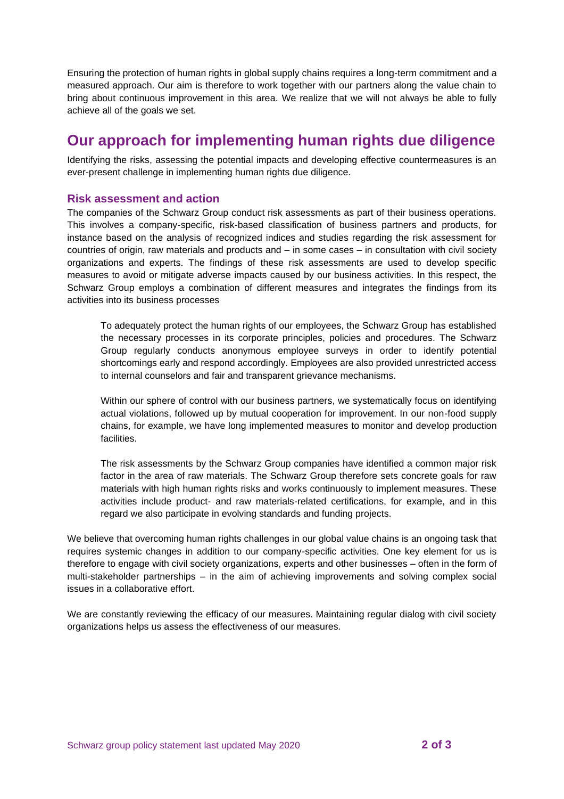Ensuring the protection of human rights in global supply chains requires a long-term commitment and a measured approach. Our aim is therefore to work together with our partners along the value chain to bring about continuous improvement in this area. We realize that we will not always be able to fully achieve all of the goals we set.

## **Our approach for implementing human rights due diligence**

Identifying the risks, assessing the potential impacts and developing effective countermeasures is an ever-present challenge in implementing human rights due diligence.

#### **Risk assessment and action**

The companies of the Schwarz Group conduct risk assessments as part of their business operations. This involves a company-specific, risk-based classification of business partners and products, for instance based on the analysis of recognized indices and studies regarding the risk assessment for countries of origin, raw materials and products and – in some cases – in consultation with civil society organizations and experts. The findings of these risk assessments are used to develop specific measures to avoid or mitigate adverse impacts caused by our business activities. In this respect, the Schwarz Group employs a combination of different measures and integrates the findings from its activities into its business processes

To adequately protect the human rights of our employees, the Schwarz Group has established the necessary processes in its corporate principles, policies and procedures. The Schwarz Group regularly conducts anonymous employee surveys in order to identify potential shortcomings early and respond accordingly. Employees are also provided unrestricted access to internal counselors and fair and transparent grievance mechanisms.

Within our sphere of control with our business partners, we systematically focus on identifying actual violations, followed up by mutual cooperation for improvement. In our non-food supply chains, for example, we have long implemented measures to monitor and develop production facilities.

The risk assessments by the Schwarz Group companies have identified a common major risk factor in the area of raw materials. The Schwarz Group therefore sets concrete goals for raw materials with high human rights risks and works continuously to implement measures. These activities include product- and raw materials-related certifications, for example, and in this regard we also participate in evolving standards and funding projects.

We believe that overcoming human rights challenges in our global value chains is an ongoing task that requires systemic changes in addition to our company-specific activities. One key element for us is therefore to engage with civil society organizations, experts and other businesses – often in the form of multi-stakeholder partnerships – in the aim of achieving improvements and solving complex social issues in a collaborative effort.

We are constantly reviewing the efficacy of our measures. Maintaining regular dialog with civil society organizations helps us assess the effectiveness of our measures.